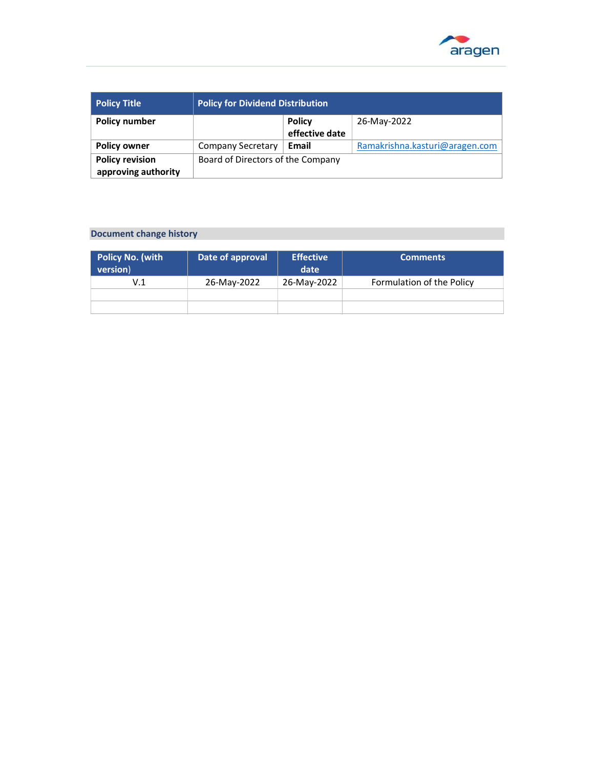

| <b>Policy Title</b>    | <b>Policy for Dividend Distribution</b> |                |                                |
|------------------------|-----------------------------------------|----------------|--------------------------------|
| <b>Policy number</b>   |                                         | <b>Policy</b>  | 26-May-2022                    |
|                        |                                         | effective date |                                |
| <b>Policy owner</b>    | Company Secretary                       | Email          | Ramakrishna.kasturi@aragen.com |
| <b>Policy revision</b> | Board of Directors of the Company       |                |                                |
| approving authority    |                                         |                |                                |

## Document change history

| <b>Policy No. (with</b><br>version) | Date of approval | <b>Effective</b><br>date | <b>Comments</b>           |
|-------------------------------------|------------------|--------------------------|---------------------------|
| V.1                                 | 26-May-2022      | 26-May-2022              | Formulation of the Policy |
|                                     |                  |                          |                           |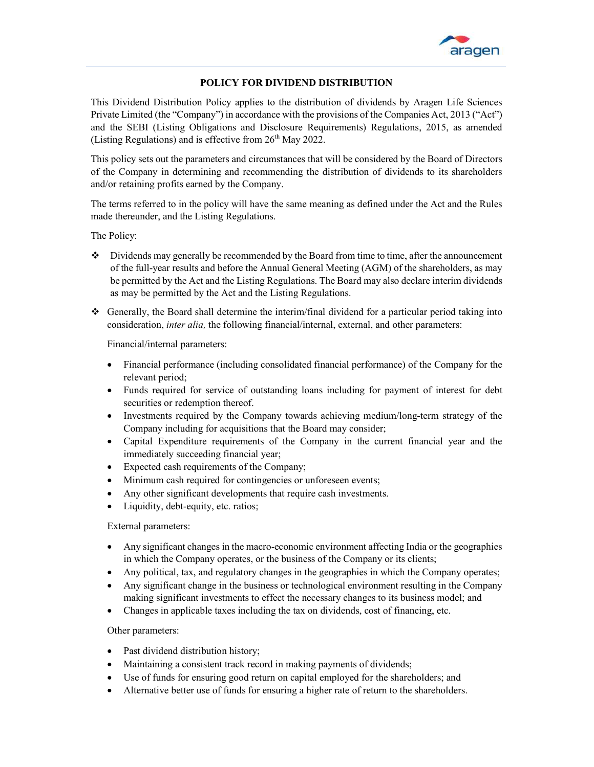

 $\overline{a}$ 

## POLICY FOR DIVIDEND DISTRIBUTION

This Dividend Distribution Policy applies to the distribution of dividends by Aragen Life Sciences Private Limited (the "Company") in accordance with the provisions of the Companies Act, 2013 ("Act") and the SEBI (Listing Obligations and Disclosure Requirements) Regulations, 2015, as amended (Listing Regulations) and is effective from  $26<sup>th</sup>$  May 2022.

This policy sets out the parameters and circumstances that will be considered by the Board of Directors of the Company in determining and recommending the distribution of dividends to its shareholders and/or retaining profits earned by the Company.

The terms referred to in the policy will have the same meaning as defined under the Act and the Rules made thereunder, and the Listing Regulations.

The Policy:

- $\bullet$  Dividends may generally be recommended by the Board from time to time, after the announcement of the full-year results and before the Annual General Meeting (AGM) of the shareholders, as may be permitted by the Act and the Listing Regulations. The Board may also declare interim dividends as may be permitted by the Act and the Listing Regulations.
- $\bullet$  Generally, the Board shall determine the interim/final dividend for a particular period taking into consideration, *inter alia*, the following financial/internal, external, and other parameters:

Financial/internal parameters:

- Financial performance (including consolidated financial performance) of the Company for the relevant period;
- Funds required for service of outstanding loans including for payment of interest for debt securities or redemption thereof.
- Investments required by the Company towards achieving medium/long-term strategy of the Company including for acquisitions that the Board may consider;
- Capital Expenditure requirements of the Company in the current financial year and the immediately succeeding financial year;
- Expected cash requirements of the Company;
- Minimum cash required for contingencies or unforeseen events;
- Any other significant developments that require cash investments.
- Liquidity, debt-equity, etc. ratios;

## External parameters:

- Any significant changes in the macro-economic environment affecting India or the geographies in which the Company operates, or the business of the Company or its clients;
- Any political, tax, and regulatory changes in the geographies in which the Company operates;
- Any significant change in the business or technological environment resulting in the Company making significant investments to effect the necessary changes to its business model; and
- Changes in applicable taxes including the tax on dividends, cost of financing, etc.

## Other parameters:

- Past dividend distribution history;
- Maintaining a consistent track record in making payments of dividends;
- Use of funds for ensuring good return on capital employed for the shareholders; and
- Alternative better use of funds for ensuring a higher rate of return to the shareholders.